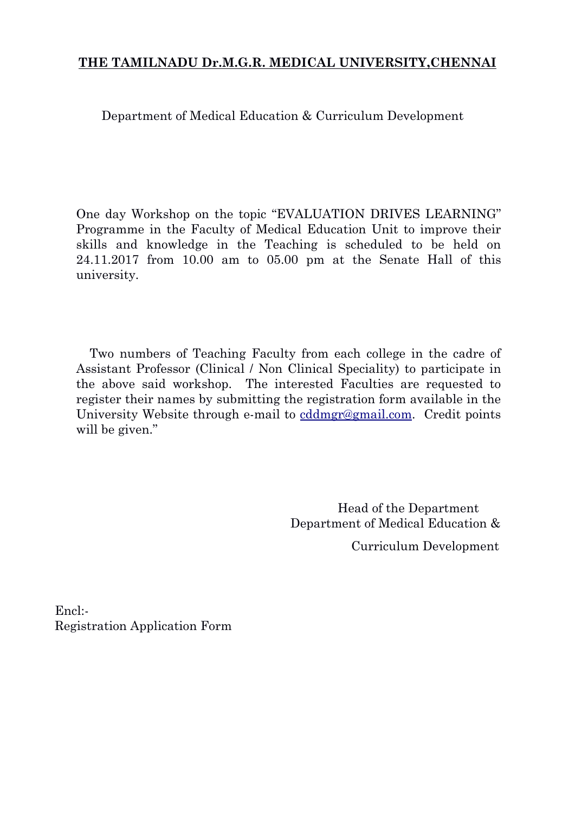# **THE TAMILNADU Dr.M.G.R. MEDICAL UNIVERSITY,CHENNAI**

Department of Medical Education & Curriculum Development

One day Workshop on the topic "EVALUATION DRIVES LEARNING" Programme in the Faculty of Medical Education Unit to improve their skills and knowledge in the Teaching is scheduled to be held on 24.11.2017 from 10.00 am to 05.00 pm at the Senate Hall of this university.

Two numbers of Teaching Faculty from each college in the cadre of Assistant Professor (Clinical / Non Clinical Speciality) to participate in the above said workshop. The interested Faculties are requested to register their names by submitting the registration form available in the University Website through e-mail to cddmgr@gmail.com. Credit points will be given."

> Head of the Department Department of Medical Education &

> > Curriculum Development

Encl:- Registration Application Form